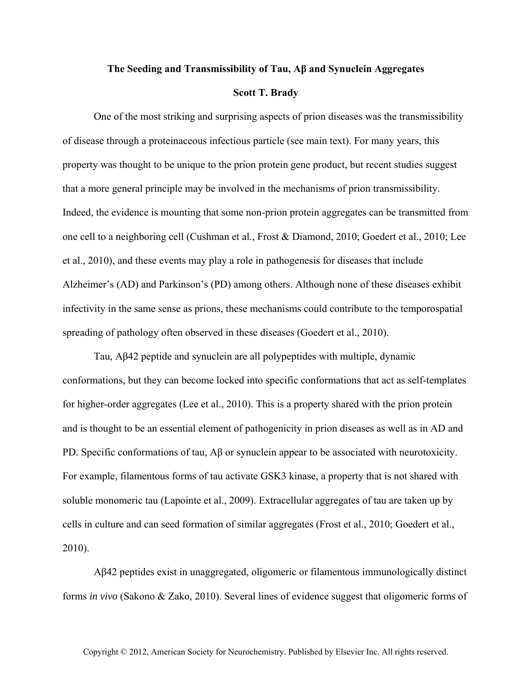## **The Seeding and Transmissibility of Tau, Aβ and Synuclein Aggregates**

## **Scott T. Brady**

One of the most striking and surprising aspects of prion diseases was the transmissibility of disease through a proteinaceous infectious particle (see main text). For many years, this property was thought to be unique to the prion protein gene product, but recent studies suggest that a more general principle may be involved in the mechanisms of prion transmissibility. Indeed, the evidence is mounting that some non-prion protein aggregates can be transmitted from one cell to a neighboring cell (Cushman et al., Frost & Diamond, 2010; Goedert et al., 2010; Lee et al., 2010), and these events may play a role in pathogenesis for diseases that include Alzheimer's (AD) and Parkinson's (PD) among others. Although none of these diseases exhibit infectivity in the same sense as prions, these mechanisms could contribute to the temporospatial spreading of pathology often observed in these diseases (Goedert et al., 2010).

Tau, Aβ42 peptide and synuclein are all polypeptides with multiple, dynamic conformations, but they can become locked into specific conformations that act as self-templates for higher-order aggregates (Lee et al., 2010). This is a property shared with the prion protein and is thought to be an essential element of pathogenicity in prion diseases as well as in AD and PD. Specific conformations of tau, Aβ or synuclein appear to be associated with neurotoxicity. For example, filamentous forms of tau activate GSK3 kinase, a property that is not shared with soluble monomeric tau (Lapointe et al., 2009). Extracellular aggregates of tau are taken up by cells in culture and can seed formation of similar aggregates (Frost et al., 2010; Goedert et al., 2010).

Aβ42 peptides exist in unaggregated, oligomeric or filamentous immunologically distinct forms *in vivo* (Sakono & Zako, 2010). Several lines of evidence suggest that oligomeric forms of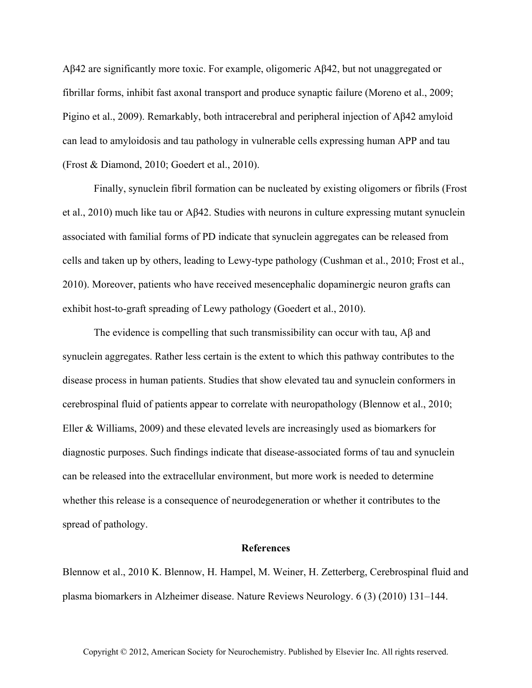Aβ42 are significantly more toxic. For example, oligomeric Aβ42, but not unaggregated or fibrillar forms, inhibit fast axonal transport and produce synaptic failure (Moreno et al., 2009; Pigino et al., 2009). Remarkably, both intracerebral and peripheral injection of Aβ42 amyloid can lead to amyloidosis and tau pathology in vulnerable cells expressing human APP and tau (Frost & Diamond, 2010; Goedert et al., 2010).

Finally, synuclein fibril formation can be nucleated by existing oligomers or fibrils (Frost et al., 2010) much like tau or Aβ42. Studies with neurons in culture expressing mutant synuclein associated with familial forms of PD indicate that synuclein aggregates can be released from cells and taken up by others, leading to Lewy-type pathology (Cushman et al., 2010; Frost et al., 2010). Moreover, patients who have received mesencephalic dopaminergic neuron grafts can exhibit host-to-graft spreading of Lewy pathology (Goedert et al., 2010).

The evidence is compelling that such transmissibility can occur with tau,  $\Lambda\beta$  and synuclein aggregates. Rather less certain is the extent to which this pathway contributes to the disease process in human patients. Studies that show elevated tau and synuclein conformers in cerebrospinal fluid of patients appear to correlate with neuropathology (Blennow et al., 2010; Eller & Williams, 2009) and these elevated levels are increasingly used as biomarkers for diagnostic purposes. Such findings indicate that disease-associated forms of tau and synuclein can be released into the extracellular environment, but more work is needed to determine whether this release is a consequence of neurodegeneration or whether it contributes to the spread of pathology.

## **References**

Blennow et al., 2010 K. Blennow, H. Hampel, M. Weiner, H. Zetterberg, Cerebrospinal fluid and plasma biomarkers in Alzheimer disease. Nature Reviews Neurology. 6 (3) (2010) 131–144.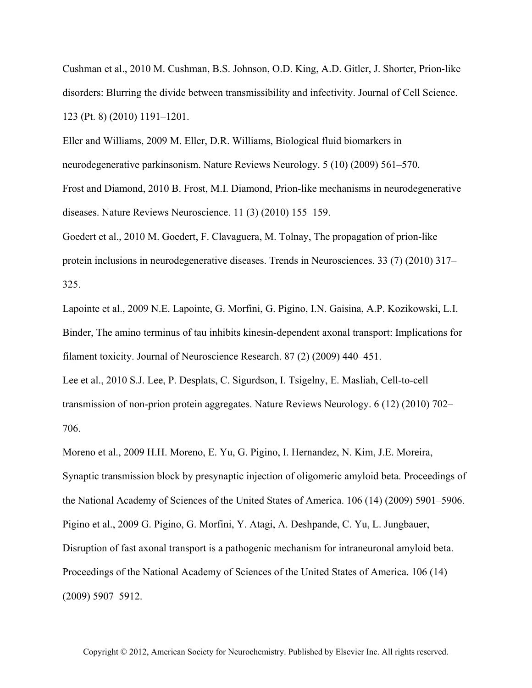Cushman et al., 2010 M. Cushman, B.S. Johnson, O.D. King, A.D. Gitler, J. Shorter, Prion-like disorders: Blurring the divide between transmissibility and infectivity. Journal of Cell Science. 123 (Pt. 8) (2010) 1191–1201.

Eller and Williams, 2009 M. Eller, D.R. Williams, Biological fluid biomarkers in neurodegenerative parkinsonism. Nature Reviews Neurology. 5 (10) (2009) 561–570. Frost and Diamond, 2010 B. Frost, M.I. Diamond, Prion-like mechanisms in neurodegenerative diseases. Nature Reviews Neuroscience. 11 (3) (2010) 155–159.

Goedert et al., 2010 M. Goedert, F. Clavaguera, M. Tolnay, The propagation of prion-like protein inclusions in neurodegenerative diseases. Trends in Neurosciences. 33 (7) (2010) 317– 325.

Lapointe et al., 2009 N.E. Lapointe, G. Morfini, G. Pigino, I.N. Gaisina, A.P. Kozikowski, L.I. Binder, The amino terminus of tau inhibits kinesin-dependent axonal transport: Implications for filament toxicity. Journal of Neuroscience Research. 87 (2) (2009) 440–451.

Lee et al., 2010 S.J. Lee, P. Desplats, C. Sigurdson, I. Tsigelny, E. Masliah, Cell-to-cell transmission of non-prion protein aggregates. Nature Reviews Neurology. 6 (12) (2010) 702– 706.

Moreno et al., 2009 H.H. Moreno, E. Yu, G. Pigino, I. Hernandez, N. Kim, J.E. Moreira, Synaptic transmission block by presynaptic injection of oligomeric amyloid beta. Proceedings of the National Academy of Sciences of the United States of America. 106 (14) (2009) 5901–5906. Pigino et al., 2009 G. Pigino, G. Morfini, Y. Atagi, A. Deshpande, C. Yu, L. Jungbauer, Disruption of fast axonal transport is a pathogenic mechanism for intraneuronal amyloid beta. Proceedings of the National Academy of Sciences of the United States of America. 106 (14) (2009) 5907–5912.